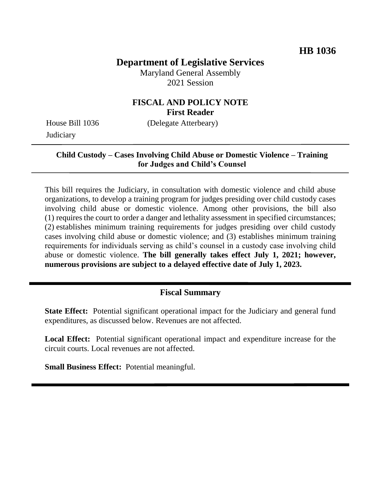# **Department of Legislative Services**

Maryland General Assembly 2021 Session

## **FISCAL AND POLICY NOTE First Reader**

House Bill 1036 (Delegate Atterbeary) **Judiciary** 

#### **Child Custody – Cases Involving Child Abuse or Domestic Violence – Training for Judges and Child's Counsel**

This bill requires the Judiciary, in consultation with domestic violence and child abuse organizations, to develop a training program for judges presiding over child custody cases involving child abuse or domestic violence. Among other provisions, the bill also (1) requires the court to order a danger and lethality assessment in specified circumstances; (2) establishes minimum training requirements for judges presiding over child custody cases involving child abuse or domestic violence; and (3) establishes minimum training requirements for individuals serving as child's counsel in a custody case involving child abuse or domestic violence. **The bill generally takes effect July 1, 2021; however, numerous provisions are subject to a delayed effective date of July 1, 2023.**

# **Fiscal Summary**

**State Effect:** Potential significant operational impact for the Judiciary and general fund expenditures, as discussed below. Revenues are not affected.

**Local Effect:** Potential significant operational impact and expenditure increase for the circuit courts. Local revenues are not affected.

**Small Business Effect:** Potential meaningful.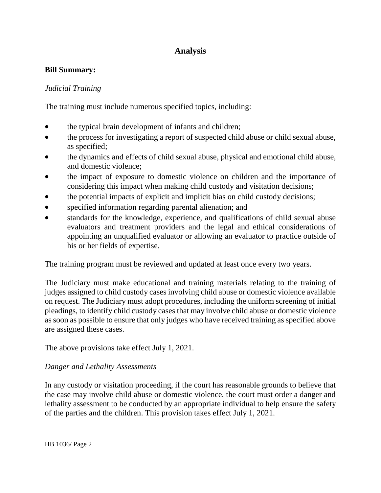# **Analysis**

#### **Bill Summary:**

#### *Judicial Training*

The training must include numerous specified topics, including:

- the typical brain development of infants and children;
- the process for investigating a report of suspected child abuse or child sexual abuse, as specified;
- the dynamics and effects of child sexual abuse, physical and emotional child abuse, and domestic violence;
- the impact of exposure to domestic violence on children and the importance of considering this impact when making child custody and visitation decisions;
- the potential impacts of explicit and implicit bias on child custody decisions;
- specified information regarding parental alienation; and
- standards for the knowledge, experience, and qualifications of child sexual abuse evaluators and treatment providers and the legal and ethical considerations of appointing an unqualified evaluator or allowing an evaluator to practice outside of his or her fields of expertise.

The training program must be reviewed and updated at least once every two years.

The Judiciary must make educational and training materials relating to the training of judges assigned to child custody cases involving child abuse or domestic violence available on request. The Judiciary must adopt procedures, including the uniform screening of initial pleadings, to identify child custody cases that may involve child abuse or domestic violence as soon as possible to ensure that only judges who have received training as specified above are assigned these cases.

The above provisions take effect July 1, 2021.

#### *Danger and Lethality Assessments*

In any custody or visitation proceeding, if the court has reasonable grounds to believe that the case may involve child abuse or domestic violence, the court must order a danger and lethality assessment to be conducted by an appropriate individual to help ensure the safety of the parties and the children. This provision takes effect July 1, 2021.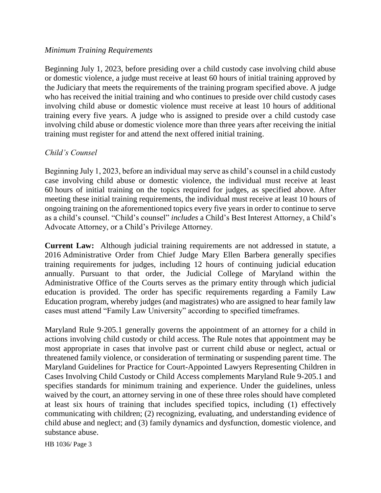#### *Minimum Training Requirements*

Beginning July 1, 2023, before presiding over a child custody case involving child abuse or domestic violence, a judge must receive at least 60 hours of initial training approved by the Judiciary that meets the requirements of the training program specified above. A judge who has received the initial training and who continues to preside over child custody cases involving child abuse or domestic violence must receive at least 10 hours of additional training every five years. A judge who is assigned to preside over a child custody case involving child abuse or domestic violence more than three years after receiving the initial training must register for and attend the next offered initial training.

#### *Child's Counsel*

Beginning July 1, 2023, before an individual may serve as child's counsel in a child custody case involving child abuse or domestic violence, the individual must receive at least 60 hours of initial training on the topics required for judges, as specified above. After meeting these initial training requirements, the individual must receive at least 10 hours of ongoing training on the aforementioned topics every five years in order to continue to serve as a child's counsel. "Child's counsel" *includes* a Child's Best Interest Attorney, a Child's Advocate Attorney, or a Child's Privilege Attorney.

**Current Law:** Although judicial training requirements are not addressed in statute, a 2016 Administrative Order from Chief Judge Mary Ellen Barbera generally specifies training requirements for judges, including 12 hours of continuing judicial education annually. Pursuant to that order, the Judicial College of Maryland within the Administrative Office of the Courts serves as the primary entity through which judicial education is provided. The order has specific requirements regarding a Family Law Education program, whereby judges (and magistrates) who are assigned to hear family law cases must attend "Family Law University" according to specified timeframes.

Maryland Rule 9-205.1 generally governs the appointment of an attorney for a child in actions involving child custody or child access. The Rule notes that appointment may be most appropriate in cases that involve past or current child abuse or neglect, actual or threatened family violence, or consideration of terminating or suspending parent time. The Maryland Guidelines for Practice for Court-Appointed Lawyers Representing Children in Cases Involving Child Custody or Child Access complements Maryland Rule 9-205.1 and specifies standards for minimum training and experience. Under the guidelines, unless waived by the court, an attorney serving in one of these three roles should have completed at least six hours of training that includes specified topics, including (1) effectively communicating with children; (2) recognizing, evaluating, and understanding evidence of child abuse and neglect; and (3) family dynamics and dysfunction, domestic violence, and substance abuse.

HB 1036/ Page 3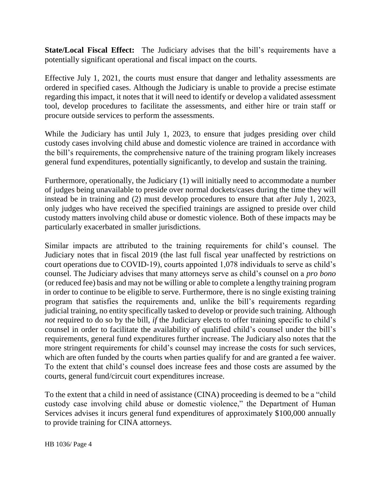**State/Local Fiscal Effect:** The Judiciary advises that the bill's requirements have a potentially significant operational and fiscal impact on the courts.

Effective July 1, 2021, the courts must ensure that danger and lethality assessments are ordered in specified cases. Although the Judiciary is unable to provide a precise estimate regarding this impact, it notes that it will need to identify or develop a validated assessment tool, develop procedures to facilitate the assessments, and either hire or train staff or procure outside services to perform the assessments.

While the Judiciary has until July 1, 2023, to ensure that judges presiding over child custody cases involving child abuse and domestic violence are trained in accordance with the bill's requirements, the comprehensive nature of the training program likely increases general fund expenditures, potentially significantly, to develop and sustain the training.

Furthermore, operationally, the Judiciary (1) will initially need to accommodate a number of judges being unavailable to preside over normal dockets/cases during the time they will instead be in training and (2) must develop procedures to ensure that after July 1, 2023, only judges who have received the specified trainings are assigned to preside over child custody matters involving child abuse or domestic violence. Both of these impacts may be particularly exacerbated in smaller jurisdictions.

Similar impacts are attributed to the training requirements for child's counsel. The Judiciary notes that in fiscal 2019 (the last full fiscal year unaffected by restrictions on court operations due to COVID-19), courts appointed 1,078 individuals to serve as child's counsel. The Judiciary advises that many attorneys serve as child's counsel on a *pro bono* (or reduced fee) basis and may not be willing or able to complete a lengthy training program in order to continue to be eligible to serve. Furthermore, there is no single existing training program that satisfies the requirements and, unlike the bill's requirements regarding judicial training, no entity specifically tasked to develop or provide such training. Although *not* required to do so by the bill, *if* the Judiciary elects to offer training specific to child's counsel in order to facilitate the availability of qualified child's counsel under the bill's requirements, general fund expenditures further increase. The Judiciary also notes that the more stringent requirements for child's counsel may increase the costs for such services, which are often funded by the courts when parties qualify for and are granted a fee waiver. To the extent that child's counsel does increase fees and those costs are assumed by the courts, general fund/circuit court expenditures increase.

To the extent that a child in need of assistance (CINA) proceeding is deemed to be a "child custody case involving child abuse or domestic violence," the Department of Human Services advises it incurs general fund expenditures of approximately \$100,000 annually to provide training for CINA attorneys.